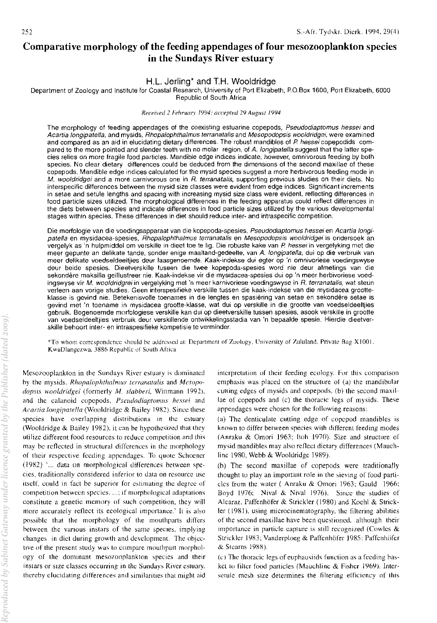# Comparative morphology of the feeding appendages of four mesozooplankton species in the Sundays River estuary

# H.L, Jerling\* and T.H. Wooldridge

Department of Zoology and Institute for Coastal Research, University of Port Elizabeth, P.O.Box 1600, Port Elizabeth, 6000 Republic of South Africa

#### Received 2 Fehruary 1994: accepted 29 August 1994

The morphology of feeding appendages of the coexisting estuarine copepods, Pseudodiaptomus hessei and Acartia longipatella, and mysids, Rhopalophthalmus terranatalis and Mesopodopsis wooldridgei, were examined and compared as an aid in elucidating dietary differences. The robust mandibles of P. hessel copepodids compared to the more pointed and slender teeth with no molar region, of A. longipatella suggest that the latter species relies on more tragile food particles. Mandible edge indices indicate, however, omnivorous feeding by both species. No clear dietary differences could be deduced from the dimensions of the second maxillae of these copepods. Mandible edge indices calculated for the mysid species suggest a more herbivorous feeding mode in M. wooldridgei and a more carnivorous one in R. terranatalis, supporting previous studies on their diets. No interspecific differences between the mysid size classes were evident from edge indices. Significant increments in setae and setule lengths and spacing with increasing mysid size class were evident, reflecting differences in food particle sizes utilized. The morphological differences in the feeding apparatus could reflect differences in the diets between species and indicate differences in food particle sizes utilized by the various developmental stages within species. These differences in diet should reduce inter- and intraspecific competition.

Die morfologie van die voedingsapparaat van die kopepoda-spesies, Pseudodiaptomus hessei en Acartia longipatella en mysidacea-spesies, Rhopalophthalmus terranatalis en Mesopodopsis wooldridgei is ondersoek an vergelyk as 'n hulpmiddel om verskille in dieet toe te lig. Die robuste kake van P hessei in vergelyking met die meer gepunte an delikate tande, sonder enige maaltand-gedeelte, van A. longipatella, dui op die verbruik van meer delikate voedseldeeltjies deur laasgenoemde. Kaak-indekse dui egter op 'n omnivoriese voedingswyse deur beide spesies. Dieetverskille tuseen die twee kopepoda-spesies word nie deur atmetings van die sekondere maksilla ge'lllustreer nie. Kaak-indekse vir die mysidacea-spesies dui op 'n meer herbivoriese voedingswyse vir M. wooldridgrei in vergelyking met 'n meer karnivoriese voedingswyse in R. terranatalis, wat steun verleen aan vorige studies. Geen interspesifieke verskille tussen die kaak-indekse van die mysidacea grootteklasse is gevind nie. Betekenisvolle toenames in die lengtes en spasiering van setae en sekondere setae is gevind met 'n toename in mysidacea grootte-klasse, wat dui op verskille in die grootte van voedseldeeltjies gebruik. Bogenoemde morfologiese verskille kan dui op dieetverskille tussen spesies, asook verskille in grootte van voedseldeeltjies verbruik deur verskillende ontwikkelingsstadia van 'n bepaalde spesie. Hierdie dieetverskille behoort inter- en intraspesifieke kompetisie te verminder.

\*To whom correspondence should be addressed at: Department of Zoology, University of Zululand, Private Bag X1001. KwaDlangezwa, 3886 Republic of South Africa

Mesozooplankton in the Sundays River estuary is dominated by the mysids, *Rhopalophthalnws terranatatis* and *Mcsopo*dopsis wooldridgei (formerly *M. slabberi*, Wittmann 1992), and the calanoid copepods, *Pseudodiaptomus hessei* and *Acartia longipatella* (Wooldridge & Bailey 1982). Since these species have overlapping distrihutions in the estuary (Wooldridge  $&$  Bailey 1982), it can be hypothesized that they utilize different food resources to reduce competition and this may be reflected in structural differences in the morphology of their respective feeding appendages. To quote Schoener (1982) '... data on morphological differences between species, traditionally considered inferior to data on resource use itself, could in fact be superior for estimating the degree of competition hetween species .... ; if morphological adaptations constitute a genetic memory of such competition, they will more accurately reflect its ecological importance: It is also possible that the morphology of the mouthparts differs between the various instars of the same species, implying changes in diet during growth and development. The objective of the present study was to compare mouthpart morphology of the dominant mesozoorlankton species and their instars or size classes occurring in the Sundays River estuary. thereby clucidating differences and similarities that might aid

interpretation of their feeding ecology. for this comparison emphasis was placed on the structure of (a) the mandibular cutting edges of mysids and copepods, (b) the second maxillae of copepods and (c) the thoracic legs of mysids. These appendages were chosen for the following reasons:

(a) The denticulate cutting edge of copepod mandibles is known to differ between species with different feeding modes (Anraku & Omori 1963; Itoh 1970). Size and structure of mysid mandibles may also reflect dietary differences (Mauchline 1980, Webb & Wooldridge 1989).

(h) The second maxillae of capepads were traditionally thought to play an important role in the sieving of food particles from the water (Anraku  $&$  Omori 1963; Gauld 1966; Boyd 1976; Nival & Nival 1976). Since the studies of Alcaraz, Paffenhbfer & Strickler (1980) and Koehl & Strickler (1981), using microcinematography, the filtering abilities of the sccond maxillae have been questioned. although their importance in particle capture is still recognized (Cowles & Strickler 1983; Vanderploeg & Paffenhöfer 1985; Paffenhöfer & Stearns 19S5)

 $(c)$  The thoracic legs of euphausiids function as a feeding hasket to filter food particles (Mauchline  $&$  Fisher 1969). Intersetule mesh size determines the filtering efficiency of this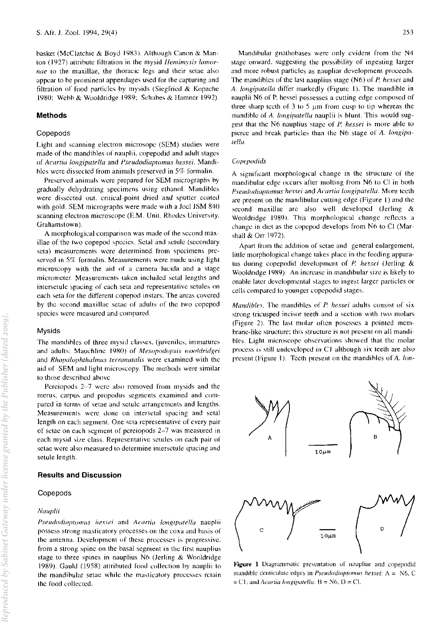basket (McClatchie & Boyd 1983). Although Canon & Manton (1927) attribute filtration in the mysid *Ilemimysis lamor*nae to the maxillae, the thoracic legs and their setae also appear to be prominent appendages used for the capturing and filtration of food particles by mysids (Siegfried & Kopachc 1980; Webb & Wooldridge 1989; Schabes & Hamner 1992).

### Methods

### Copepods

Light and scanning electron microsope (SEM) studies were made of the mandibles of nauplii. copepodid and adult stages of *Acartia longipatella* and *Pseudodiaptomus hessei.* Mandibles were dissected from animals preserved in  $5\%$  formalin.

Preserved animals were prepared for SEM micrographs hy gradually dehydrating specimens using ethanol. Mandibles were dissected out, critical-point dried and sputter coated with gold. SEM micrographs were made with a Joel JSM 840 scanning electron microscope (E.M. Unit. Rhodes University. Grahamstown).

A morphological comparison was made of the sccond maxillae of the two copepod species. Setal and setule (secondary seta) measurements were determined from specimens preserved in  $5\%$  formalin. Measurements were made using light microscopy with the aid of a camera lucida and a stage micrometer. Measurements taken included setal lengths and intersetule spacing of each seta and representative setules on each seta for the different copepod instars. The areas covered by the second maxillae setae of adults of the two copepod species were measured and compared.

#### Mysids

The mandibles of three mysid classes, (juveniles, immatures and adults: Mauchline 1980) of *Mesopodopsis wooldridgei* and *Rhopalophthalmus terranatalis* were examined with the aid of SEM and light microscopy. The methods were similar to those described ahovc

Pereiopods 2-7 were also removed from mysids and the merus, carpus and propodus segments examined and compared in terms of setae and setule arrangements and lengths. Measurements were done on intersctal spacing and setal length on each segment. One seta representative of every pair of setae on each segment of pereiopods 2-7 was measured in each mysid size class. Representative setules on each pair of setae were also measured to determine intersetulc spacing and setule length.

#### Results and Discussion

## **Copepods**

#### *Naup/ii*

*Pseudodiaptomus hessei* and *Acartia longipatella* nauplii possess strong masticatory processes on the coxa and basis of the antenna. Development of these processes is progressive. from a strong spine on the basal segment in the first nauplius stage to three spines in nauplius  $N6$  (Jerling & Wooldridge 1989). Gauld (1958) attributed food collection by nauplii to the mandihular setae while the masticatory processes retain the food collected.

253

Mandibular gnathohases were only evident from the N4 stage onward. suggesting the possibility of ingesting larger and more rohust particles as naupliar development proceeds. The mandibles of the last nauplius stage (N6) of *P. hessei* and A. *longiparella* differ markedly (Figure I). The mandible in nauplii N6 of P. hessei possesses a cutting edge composed of three sharp teeth of  $3$  to  $5 \mu m$  from cusp to tip whereas the mandible of *A. longipatella* nauplii is blunt. This would suggest that the N6 nauplius stage of P. *hessei* is more ahle to pierce and break particles than the N6 stage of A. *longipalelia.* 

#### *Copepodids*

A significant morphological change in the structure of the mandibular edge occurs after molting from N6 to CI in both *Pscudodiaplomus hessei* nnd *Acartia IOflgi{Jalella.* More teeth are present on the mandibular cutting edge (Figure I) and the second maxillae are also well developed (Jerling & Wooldridge 1989). This morphological change rellects a change in diet as the cope pod develops from  $N6$  to Cl (Marshall & Orr 1972).

Apart from the addition of setae and general enlargement, little morphological change takes place in the feeding apparatus during copepodid development of P. *hessei* (Jerling & Wooldridge 1989). An increase in mandibular size is likely to enable later developmental stages to ingest larger particles or cells compared to younger copepodid stages.

*Mandibles.* The mandibles of *P. hessei* adults consist of six strong tricusped incisor teeth and a section with two molars (Figure 2). The last molar often posesses a pointed membrane-like structure; this structure is not present on all mandibles. Light microscope ohservations showed that the molar process is still undeveloped in  $C1$  although six teeth are also present (Figure 1). Teeth present on the mandibles of  $A$ . lon-



Figure 1 Diagrammatic presentation of naupliar and copepodid mandible denticulate edges in *Pseudodiaptomus hessel:*  $A = N6$ , C  $=$  C1; and *Acartia longipatella*:  $B = N6$ , D = Cl.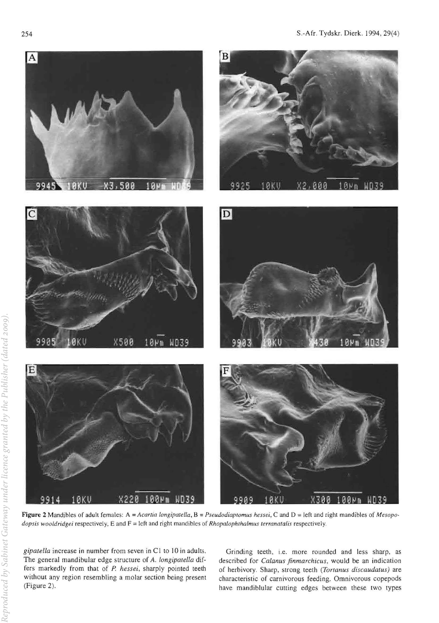

Figure 2 Mandibles of adult females: A = *Acartia longipatella*, B = *Pseudodiaptomus hessei*, C and D = left and right mandibles of *Mesopodopsis wooldridgei respectively*, E and F = left and right mandibles of *Rhopalophthalmus terranatalis respectively*.

*gipalella* increase in number from seven in CI to 10 **in** adults. The general mandibular edge structure of A. longipatella differs markedly from that of *P. hessei,* sharply pointed teeth without any region resembling a molar section being present (Figure 2).

Grinding teeth, i.e. more rounded and less sharp, as described for *Calanus finmarchicus*, would be an indication of herbivory. Sharp, strong teeth (Tortanus discaudatus) are characteristic of carnivorous feeding. Omnivorous copepods have mandiblular cutting edges between these two types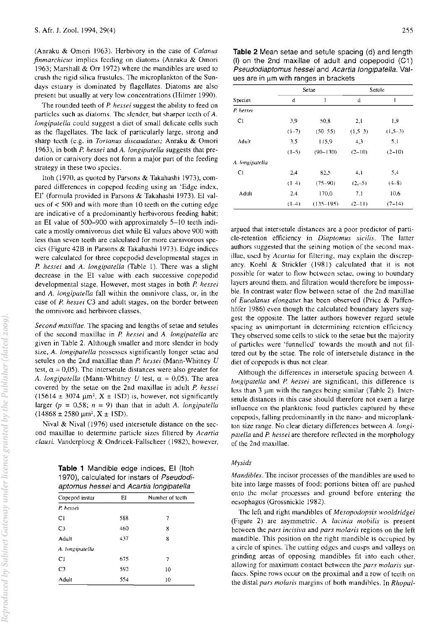(Anraku & Omori 1963). Herbivory in the case of *Calanus finmarchicus* implies feeding on diatoms (Anraku & Omori 1963; Marshall & Orr 1972) where the mandibles are used to crush the rigid silica frustulcs. The microplankton of the Sundays estuary is dominated by flagellates. Diatoms are also present but usually at very low concentrations (Hilmer 1990).

The rounded teeth of *P hessei* suggest the ability to feed on particles such as diatoms. The slender, but sharper teeth of A. *longipalelia* could suggest a diet of small delicate cells such as the flagellates. The lack of particularly large, strong and sharp teeth (e.g. in *Tortanus discaudatus; Anraku & Omori* 1963), in both *P hessei* and *A. longipatella* suggests that predation or carnivory does not form a major part of the feeding strategy in these two species.

Itoh (1970, as quoted by Parsons & Takahashi 1973), compared differences in copcpod feeding using an 'Edge index., Er (formula provided in Parsons & Takahashi 1973). EI values of < 500 and with more than 10 teeth on the cutting edge are indicative of a predominantly herbivorous feeding habit; an EI value of 500-900 with approximately 5-10 teeth indicate a mostly omnivorous diet while EI values above 900 with less than seven teeth are calculated for more carnivorous species (Figure 42B in Parsons & Takahashi 1973). Edge indices were calculated for three copepodid developmental stages in *P hessei* and A. *iongipateiia* (Tahle 1). There was a slight decrease in the EI value with each successive copepodid developmental stage, However, most stages in both *P. hessei*  and A. *iongipatella* fall within the omnivore class, or, in the case of P. *hessei* C3 and adult stages. on the border between the omnivore and herbivore classes.

*Second maxillae.* The spacing and lengths of setae and setules of the second maxillae in *P hessei* and A. *iongipateila* are given in Table 2. Although smaller and more slender in body size, A. *longipatella* possesses significantly longer setae and setules on the 2nd maxillae than *P hessei* (Mann-Whitney *U*  test,  $\alpha = 0.05$ ). The intersetule distances were also greater for *A. longipatella* (Mann-Whitney *U* test,  $\alpha = 0.05$ ). The area covered by the setae on the 2nd maxillae in adult *P hessei*   $(15614 \pm 3074 \text{ }\mu\text{m}^2, X \pm 1SD)$  is, however, not significantly larger ( $p = 0.58$ ;  $n = 9$ ) than that in adult *A. longipatella*  $(14868 \pm 2580 \,\mu m^2, X \pm 1SD).$ 

Nival & Nival (1976) used intersetule distance on the second maxillae to determine particle sizes filtered by *Acartia claus;* Vanderploeg & Ondricek-Fallscheer (1982), however,

> Table 1 Mandible edge indices, EI (Itoh 1970), calculated for instars of Pseudodiaptomus hessei and Acartia longipatella

| Copepod instar  | EI  | Number of teeth |
|-----------------|-----|-----------------|
| P. hessei       |     |                 |
| C1              | 588 | 7               |
| C <sub>3</sub>  | 460 | 8               |
| Adult           | 437 | 8               |
| A. longipatella |     |                 |
| C1              | 675 | 7               |
| C <sub>3</sub>  | 592 | 10              |
| Adult           | 554 | 10              |

Table 2 Mean setae and setule spacing (d) and length (I) on the 2nd maxillae of adult and copepodid (C1) Pseudodiaptomus hessei and Acartia longipatella. Values are in  $~\mu$ m with ranges in brackets

|                 | Setae   |               | Setule    |           |
|-----------------|---------|---------------|-----------|-----------|
| <b>Species</b>  | d       | l             | đ         | ı         |
| P. nesset       |         |               |           |           |
| CI.             | 3,9     | 50,8          | 2,1       | 1,9       |
|                 | $(1-7)$ | (50, 55)      | (1, 5, 3) | $(1,5-3)$ |
| Adult           | 3.5     | 115.9         | 4,3       | 5,1       |
|                 | $(1-5)$ | $(90 - 130)$  | $(2-10)$  | $(2-10)$  |
| A. longipatella |         |               |           |           |
| CI              | 2.4     | 82,5          | 4.1       | 5,4       |
|                 | (1.4)   | $(75-90)$     | $(2,-5)$  | $(4-8)$   |
| Adult           | 2.4     | 170.0         | 7.1       | 10,6      |
|                 | $(1-4)$ | $(135 - 195)$ | $(2-11)$  | $(7-14)$  |

argued that intersetule distances are a poor predictor of particle-retention efficiency in *Diuptomus sieitis.* The latter authors suggested that the seining motion of the second maxillae, used by *Aeartia* for filtcring, may explain the discrepancy. Koehl  $&$  Strickler (1981) calculated that it is not possible for water to flow hetwccn sctae, owing to boundary layers around them, and filtration would therefore be impossible. In contrast water flow between setae of the 2nd maxillae of *Eucalanus elongatus* has been observed (Price & Paffenhöfer 1986) even though the calculated boundary layers suggest the opposite. The latter authors however regard setule spacing as unimportant in determining retention efficiency. They observed some cells to stick to the setae but the majority of particles were 'funnellcd' towards the mouth and not filtered out by the setae. The role of intersetule distance in the diet of copcpods is thus not clear.

Although the differences in intersetule spacing between A. *longipatella* and *P. hessei* are significant, this difference is less than  $3 \mu m$  with the ranges being similar (Table 2). Intersetule distances in this case should therefore not exert a large inlluence on the planktonic food particles captured by these copepods, falling prcdominantly in the nano- and microplankton size range. No clear dietary differences between A. *longipatella* and *P. hessei* are therefore reflected in the morphology of the 2nd maxillae.

#### *Mysids*

*Mandibles.* The incisor processes of the mandihles are used to bite into large masses of food; portions bitten off arc pushed onto the molar processes and ground before entering the oesophagus (Grossnickle 1982).

The left and right mandibles of *Mesopodopsis wooldridgei*  (Figure 2) are asymmetric. A *laeinia mobilis* is present between the *pars incisiva* and *pars moiaris* regions on the left mandible. This position on the right mandible is occupied by a circle of spines. The cutting edges and cusps and valleys on grinding areas of opposing mandibles fit into each other. allowing for maximum contact between the *pars molaris* surfaces. Spine rows occur on the proximal and a row of teelh on the distal *pars molaris* margins of both mandibles. In *Rhupal-*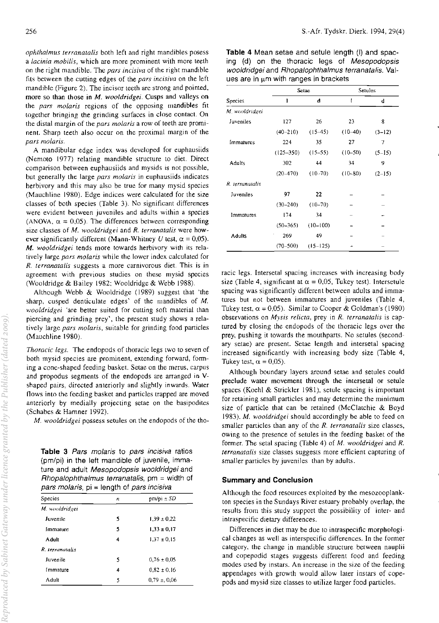*ophthalmus terranatalis* both left and right mandibles posess a *Lacinia mobilis,* which are more prominent with more teeth on the right mandible. The *pars incisiva* of the right mandible fits between the cutting edges of the *pars incisiva* on the left mandible (Figure 2). The incisor teeth are strong and pointed, more so than those **in** M. wooldridgei. Cusps and valleys on the *pars Inolaris* regions of the opposing mandibles fit together bringing the grinding surfaces in close contact. On the distal margin of the *pars molaris* a row of teeth are prominent. Sharp teeth also occur on the proximal margin of the *pars molaris.* 

A mandibular edge index was developed for euphausiids (Nemoto 1977) relating mandible structure to diet. Direct comparison between euphausiids and mysids is not possible, but generally the large *pars moLaris* in euphausiids indicates herbivory and this may also be true for many mysid species (Mauchline 1980). Edge indices were calculated for the size classes of both species (Table 3). No significant differences were evident between juveniles and adults within a species (ANOVA,  $\alpha = 0.05$ ). The differences between corresponding size classes of *M. wooldridgei* and *R. terranatalis* were however significantly different (Mann-Whitney U test,  $\alpha = 0.05$ ). *M. wooldridgei* tends more towards herbivory with its relatively large *pars molaris* while the lower index calculated for *R. terranatalis* suggests a more carnivorous diet. This is in agreement with previous studies on these mysid species (Wooldridge & Bailey 1982; Wooldridge & Webb 1988).

Although Webb & Wooldridge (1989) suggest that 'the sharp, cusped denticulate edges' of the mandibles of *M. wooldridgei* 'are better suited for cutting soft material than piercing and grinding prey', the present study shows a relatively large *pars molaris,* suitable for grinding food particles (Mauchline 1980).

*Thoracic legs.* The endopods of thoracic legs two to seven of both mysid species are prominent, extending forward, fonning a cone-shaped feeding basket. Setae on the merus, carpus and propodus segments of the endopods are arranged in Vshaped pairs, directed anteriorly and slightly inwards. Water flows into the feeding basket and particles trapped are moved anteriorly by medially projecting setae on the basipodites (Schabes & Hamner 1992).

*M. wooldridgei* possess setules on the endopods of the tho-

Table 3 Pars molaris to pars incisiva ratios (pm/pi) in the left mandible of juvenile, immature and adult Mesopodopsis wooldridgei and  $Rhopalophthalmus$  terranatalis,  $pm = width$  of pars molaris,  $pi =$  length of pars incisival

| Species         | п | $pm/pi \pm SD$  |  |  |
|-----------------|---|-----------------|--|--|
| M. wooldridgei  |   |                 |  |  |
| Juvenile        | 5 | $1,39 \pm 0.22$ |  |  |
| Immature        | 5 | $1.33 \pm 0.17$ |  |  |
| Adult           | 4 | $1,37 \pm 0,15$ |  |  |
| R. terranatalis |   |                 |  |  |
| Juvenile        | 5 | $0.76 \pm 0.05$ |  |  |
| Immature        | 4 | $0.82 \pm 0.16$ |  |  |
| Adult           | 5 | $0.79 \pm 0.06$ |  |  |
|                 |   |                 |  |  |

Table 4 Mean setae and setule length (I) and spacing (d) on the thoracic legs of Mesopodopsis wooldridgei and Rhopalophthalmus terranatalis. Values are in  $\mu$ m with ranges in brackets

|                 | Setae         |             | Setules     |            |
|-----------------|---------------|-------------|-------------|------------|
| Species         | 1             | đ           | ı           | d          |
| M. wooldridgei  |               |             |             |            |
| Juveniles       | 127           | 26          | 23          | 8          |
|                 | $(40 - 210)$  | $(15-45)$   | $(10-40)$   | $(3-12)$   |
| Immatures       | 224           | 35          | 27          | 7          |
|                 | $(125 - 350)$ | $(15-55)$   | $(10 - 50)$ | $(5 - 15)$ |
| Adults          | 302           | 44          | 34          | 9          |
|                 | $(20 - 470)$  | $(10 - 70)$ | $(10 - 80)$ | $(2-15)$   |
| R. terranatalis |               |             |             |            |
| Juveniles       | 97            | 22          |             |            |
|                 | $(30 - 240)$  | $(10-70)$   |             |            |
| Immatures       | 174           | 34          |             |            |
|                 | $(50 - 365)$  | $(10-100)$  |             |            |
| <b>Adults</b>   | ٠<br>269      | 49          |             |            |
|                 | $(70 - 500)$  | $(15-125)$  |             |            |

racic legs. Intersetal spacing increases with increasing body size (Table 4, significant at  $\alpha = 0.05$ , Tukey test). Intersetule spacing was significantly different between adults and immatures but not between immatures and juveniles (Table 4, Tukey test,  $\alpha = 0.05$ ). Similar to Cooper & Goldman's (1980) observations on *Mysis reiicta,* prey in *R. terranatalis* is captured by closing the cndopods of the thoracic legs over the prey, pushing it towards the mouthparts. No setules (secondary setae) are present. Setae length and intersetal spacing increased significantly with increasing body size (Table 4, Tukey test,  $\alpha = 0.05$ ).

Although boundary layers around setae and setules could preclude water movement through the intersetal or setule spaces (Koehl & Strickler 1981), setule spacing is important for retaining small particles and may determine the minimum size of particle that can be retained (McClatchie & Boyd *1983). M. wooldridgei* should accordingly be able to feed on smaller particles than any of the *R. terranatalis* size classes, owing to the presence of setules in the feeding basket of the former. The setal spacing (Table 4) of *M. wooldridgei* and *R. lerranatalis* size classes suggests more efficient capturing of smaller particles by juveniles than by adults.

#### Summary and Conclusion

Although the food resources exploited by the mesozooplankton species in the Sundays River estuary probably overlap, the results from this study support the possibility of inter- and intraspecific dietary differences.

Differences in diet may be due to intraspecific morphological changes as well as interspecific differences. In the former category, the change in mandible structure between nauplii and copepodid stages suggests different food and feeding modes used by instars. An increase in the size of the feeding appendages with growth would allow later instars of copepods and mysid size classes to utilize larger food particles.